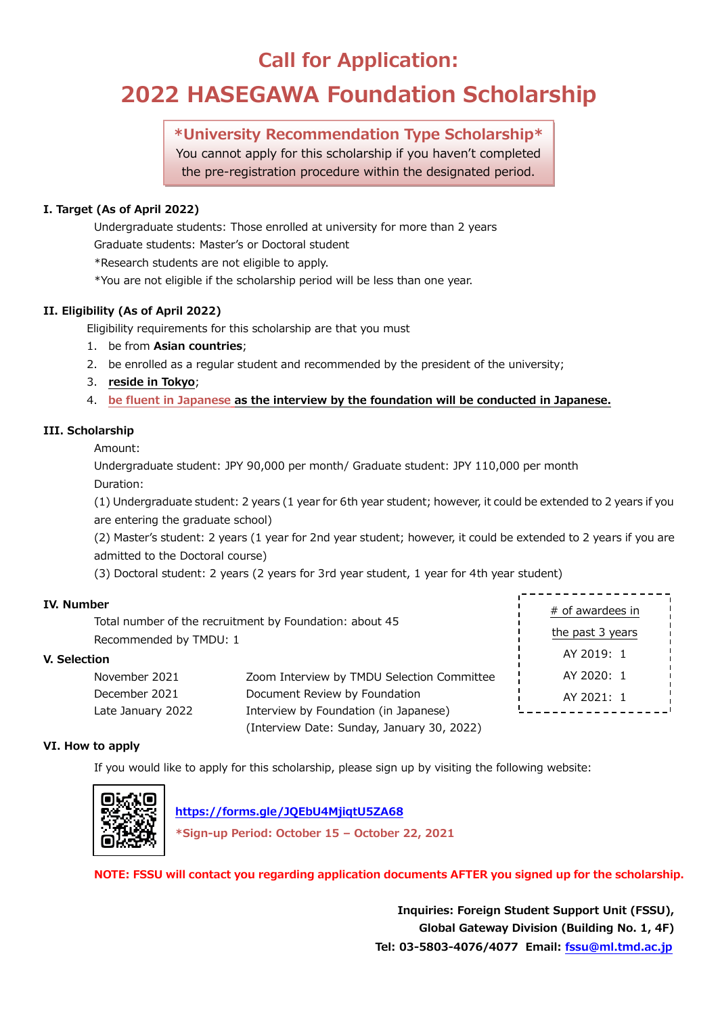# **Call for Application:**

# **2022 HASEGAWA Foundation Scholarship**

## **\*University Recommendation Type Scholarship\***

You cannot apply for this scholarship if you haven't completed the pre-registration procedure within the designated period.

### **I. Target (As of April 2022)**

Undergraduate students: Those enrolled at university for more than 2 years Graduate students: Master's or Doctoral student

\*Research students are not eligible to apply.

\*You are not eligible if the scholarship period will be less than one year.

### **II. Eligibility (As of April 2022)**

Eligibility requirements for this scholarship are that you must

- 1. be from **Asian countries**;
- 2. be enrolled as a regular student and recommended by the president of the university;
- 3. **reside in Tokyo**;
- 4. **be fluent in Japanese as the interview by the foundation will be conducted in Japanese.**

### **III. Scholarship**

Amount:

Undergraduate student: JPY 90,000 per month/ Graduate student: JPY 110,000 per month Duration:

(1) Undergraduate student: 2 years (1 year for 6th year student; however, it could be extended to 2 years if you are entering the graduate school)

(2) Master's student: 2 years (1 year for 2nd year student; however, it could be extended to 2 years if you are admitted to the Doctoral course)

(3) Doctoral student: 2 years (2 years for 3rd year student, 1 year for 4th year student)

### **IV. Number**

Total number of the recruitment by Foundation: about 45 Recommended by TMDU: 1

### **V. Selection**

| November 2021     | Zoom Interview by TMDU Selection Committee |
|-------------------|--------------------------------------------|
| December 2021     | Document Review by Foundation              |
| Late January 2022 | Interview by Foundation (in Japanese)      |
|                   | (Interview Date: Sunday, January 30, 2022) |

| # of awardees in |  |  |
|------------------|--|--|
| the past 3 years |  |  |
| AY 2019: 1       |  |  |
| AY 2020: 1       |  |  |
| AY 2021: 1       |  |  |
|                  |  |  |

### **VI. How to apply**

If you would like to apply for this scholarship, please sign up by visiting the following website:



 **<https://forms.gle/JQEbU4MjiqtU5ZA68>**

**\*Sign-up Period: October 15 – October 22, 2021**

**NOTE: FSSU will contact you regarding application documents AFTER you signed up for the scholarship.**

**Inquiries: Foreign Student Support Unit (FSSU), Global Gateway Division (Building No. 1, 4F) Tel: 03-5803-4076/4077 Email: [fssu@ml.tmd.ac.jp](mailto:fssu@ml.tmd.ac.jp)**